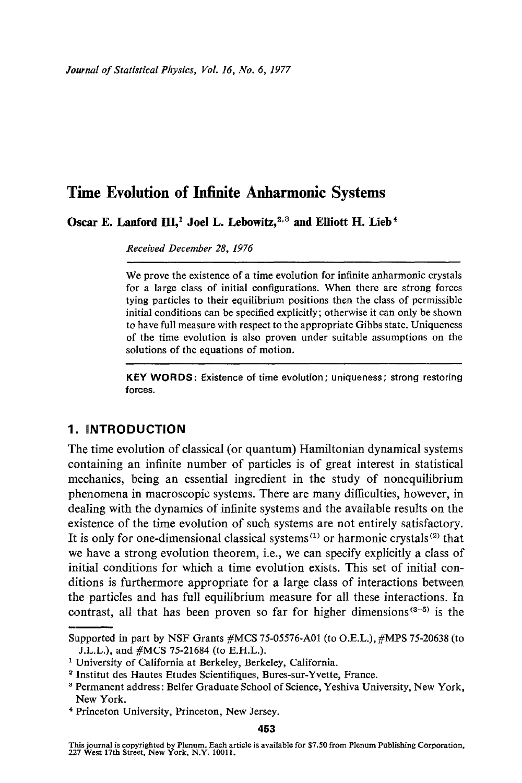Oscar E. Lanford III,<sup>1</sup> Joel L. Lebowitz,<sup>2,3</sup> and Elliott H. Lieb<sup>4</sup>

*Received December 28, 1976* 

We prove the existence of a time evolution for infinite anharmonic crystals for a large class of initial configurations. When there are strong forces tying particles to their equilibrium positions then the class of permissible initial conditions can be specified explicitly; otherwise it can only be shown to have full measure with respect to the appropriate Gibbs state. Uniqueness of the time evolution is also proven under suitable assumptions on the solutions of the equations of motion.

**KEY WORDS: Existence of time** evolution;uniqueness; strong restoring **forces.** 

# **1. iNTRODUCTION**

The time evolution of classical (or quantum) Hamiltonian dynamical systems containing an infinite number of particles is of great interest in statistical mechanics, being an essential ingredient in the study of nonequilibrium phenomena in macroscopic systems. There are many difficulties, however, in dealing with the dynamics of infinite systems and the available results on the existence of the time evolution of such systems are not entirely satisfactory. It is only for one-dimensional classical systems<sup> $(1)$ </sup> or harmonic crystals<sup> $(2)$ </sup> that we have a strong evolution theorem, i.e., we can specify explicitly a class of initial conditions for which a time evolution exists. This set of initial conditions is furthermore appropriate for a large class of interactions between the particles and has full equilibrium measure for all these interactions. In contrast, all that has been proven so far for higher dimensions $(3-5)$  is the

Supported in part by NSF Grants #MCS 75-05576-A01 (to O.E.L.), #MPS 75-20638 (to J.L.L.), and #MCS 75-21684 (to E.H.L.).

<sup>&</sup>lt;sup>1</sup> University of California at Berkeley, Berkeley, California.

<sup>2</sup> Institut des Hautes Etudes Scientifiques, Bures-sur-Yvette, France.

<sup>3</sup> Permanent address: Belfer Graduate School of Science, Yeshiva University, New York, New York.

<sup>4</sup> Princeton University, Princeton, New Jersey.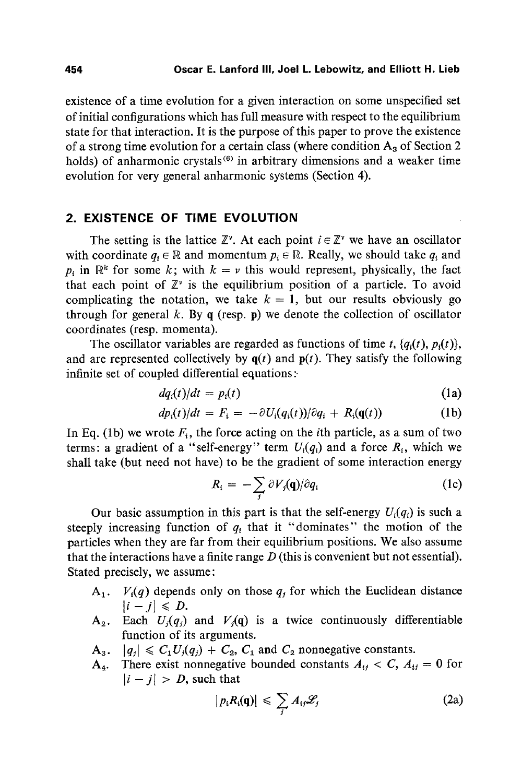existence of a time evolution for a given interaction on some unspecified set of initial configurations which has full measure with respect to the equilibrium state for that interaction. It is the purpose of this paper to prove the existence of a strong time evolution for a certain class (where condition  $A_3$  of Section 2 holds) of anharmonic crystals<sup> $(6)$ </sup> in arbitrary dimensions and a weaker time evolution for very general anharmonic systems (Section 4).

# **2. EXISTENCE OF TIME EVOLUTION**

The setting is the lattice  $\mathbb{Z}^{\nu}$ . At each point  $i \in \mathbb{Z}^{\nu}$  we have an oscillator with coordinate  $q_i \in \mathbb{R}$  and momentum  $p_i \in \mathbb{R}$ . Really, we should take  $q_i$  and  $p_i$  in  $\mathbb{R}^k$  for some k; with  $k = \nu$  this would represent, physically, the fact that each point of  $\mathbb{Z}^{\nu}$  is the equilibrium position of a particle. To avoid complicating the notation, we take  $k=1$ , but our results obviously go through for general k. By q (resp. p) we denote the collection of oscillator coordinates (resp. momenta).

The oscillator variables are regarded as functions of time *t*,  $\{q_i(t), p_i(t)\}\$ , and are represented collectively by  $q(t)$  and  $p(t)$ . They satisfy the following infinite set of coupled differential equations:

$$
dq_i(t)/dt = p_i(t) \tag{1a}
$$

$$
dp_i(t)/dt = F_i = -\partial U_i(q_i(t))/\partial q_i + R_i(\mathbf{q}(t))
$$
\n(1b)

In Eq. (1b) we wrote  $F_i$ , the force acting on the *i*th particle, as a sum of two terms: a gradient of a "self-energy" term  $U_i(q_i)$  and a force  $R_i$ , which we shall take (but need not have) to be the gradient of some interaction energy

$$
R_i = -\sum_j \partial V_j(\mathbf{q})/\partial q_i
$$
 (1c)

Our basic assumption in this part is that the self-energy  $U_i(q_i)$  is such a steeply increasing function of  $q_i$  that it "dominates" the motion of the particles when they are far from their equilibrium positions. We also assume that the interactions have a finite range  $D$  (this is convenient but not essential). Stated precisely, we assume:

- $A_1$ .  $V_i(q)$  depends only on those  $q_i$  for which the Euclidean distance  $|i - j| \le D$ .
- $A_2$ . Each  $U_j(q_j)$  and  $V_j(q)$  is a twice continuously differentiable function of its arguments.
- $A_3. \quad |q_j| \leq C_1 U_j(q_j) + C_2, C_1 \text{ and } C_2 \text{ nonnegative constants.}$
- $A_4$ . There exist nonnegative bounded constants  $A_{ij} < C$ ,  $A_{ij} = 0$  for  $|i - j| > D$ , such that

$$
|p_i R_i(\mathbf{q})| \leq \sum_j A_{ij} \mathscr{L}_j \tag{2a}
$$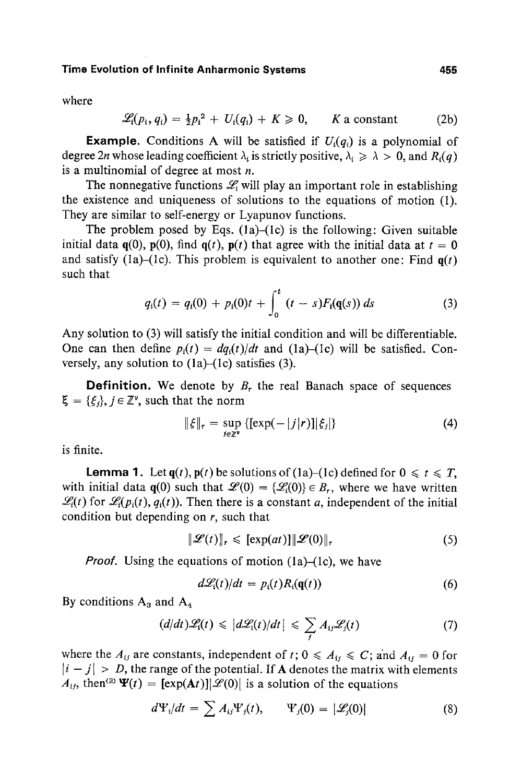where

$$
\mathscr{L}_i(p_i,q_i) = \frac{1}{2}p_i^2 + U_i(q_i) + K \geq 0, \qquad K \text{ a constant} \tag{2b}
$$

**Example.** Conditions A will be satisfied if  $U_i(q_i)$  is a polynomial of degree 2*n* whose leading coefficient  $\lambda_i$  is strictly positive,  $\lambda_i \geq \lambda > 0$ , and  $R_i(q)$ is a multinomial of degree at most  $n$ .

The nonnegative functions  $\mathcal{L}_i$  will play an important role in establishing the existence and uniqueness of solutions to the equations of motion (1). They are similar to self-energy or Lyapunov functions.

The problem posed by Eqs.  $(1a)$ - $(1c)$  is the following: Given suitable initial data  $q(0)$ ,  $p(0)$ , find  $q(t)$ ,  $p(t)$  that agree with the initial data at  $t = 0$ and satisfy (1a)-(1c). This problem is equivalent to another one: Find  $q(t)$ such that

$$
q_i(t) = q_i(0) + p_i(0)t + \int_0^t (t-s)F_i(q(s)) ds \qquad (3)
$$

Any solution to (3) will satisfy the initial condition and will be differentiable. One can then define  $p_i(t) = dq_i(t)/dt$  and (1a)-(1c) will be satisfied. Conversely, any solution to  $(1a)$ – $(1c)$  satisfies  $(3)$ .

**Definition.** We denote by  $B_r$ , the real Banach space of sequences  $\xi = {\xi_i}, j \in \mathbb{Z}^{\nu}$ , such that the norm

$$
\|\xi\|_{r} = \sup_{j \in \mathbb{Z}^{\nu}} \left\{ [\exp(-|j|r)] | \xi_{j} \right\} \tag{4}
$$

is finite.

**Lemma 1.** Let  $q(t)$ ,  $p(t)$  be solutions of (1a)-(1c) defined for  $0 \le t \le T$ , with initial data  $q(0)$  such that  $\mathcal{L}(0) = {\mathcal{L}_i(0)} \in B_r$ , where we have written  $\mathcal{L}(t)$  for  $\mathcal{L}(p_i(t), q_i(t))$ . Then there is a constant a, independent of the initial condition but depending on  $r$ , such that

$$
\|\mathcal{L}(t)\|_{r} \leqslant [\exp(at)] \|\mathcal{L}(0)\|_{r} \tag{5}
$$

*Proof.* Using the equations of motion (1a)–(1c), we have

$$
d\mathcal{L}_i(t)/dt = p_i(t)R_i(\mathbf{q}(t))
$$
\n(6)

By conditions  $A_3$  and  $A_4$ 

$$
(d/dt)\mathscr{L}_i(t) \leq |d\mathscr{L}_i(t)/dt| \leq \sum_j A_{ij}\mathscr{L}_j(t) \tag{7}
$$

where the  $A_{ij}$  are constants, independent of t;  $0 \le A_{ij} \le C$ ; and  $A_{ij} = 0$  for  $|i - j| > D$ , the range of the potential. If A denotes the matrix with elements  $A_{ij}$ , then<sup>(2)</sup>  $\Psi(t) = [\exp(\mathbf{A}t)] |\mathcal{L}(0)|$  is a solution of the equations

$$
d\Psi_i/dt = \sum A_{ij}\Psi_j(t), \qquad \Psi_j(0) = |\mathscr{L}_j(0)| \qquad (8)
$$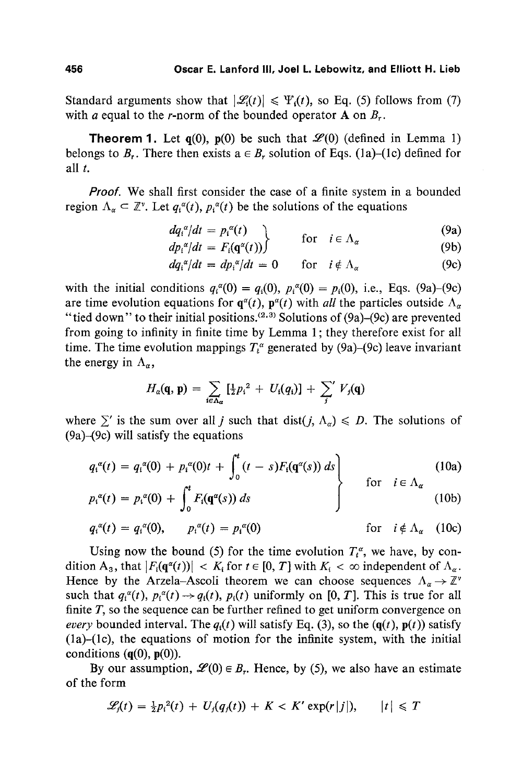Standard arguments show that  $|\mathcal{L}(t)| \leq \Psi_1(t)$ , so Eq. (5) follows from (7) with a equal to the r-norm of the bounded operator  $A$  on  $B_r$ .

**Theorem 1.** Let  $q(0)$ ,  $p(0)$  be such that  $\mathcal{L}(0)$  (defined in Lemma 1) belongs to B<sub>r</sub>. There then exists  $a \in B_r$  solution of Eqs. (1a)–(1c) defined for all t.

*Proof.* We shall first consider the case of a finite system in a bounded region  $\Lambda_{\alpha} \subset \mathbb{Z}^{\nu}$ . Let  $q_i^{\alpha}(t)$ ,  $p_i^{\alpha}(t)$  be the solutions of the equations

$$
\begin{array}{ll}\n\frac{dq_i^{\alpha}}{dt} = p_i^{\alpha}(t) \\
\frac{dp_i^{\alpha}}{dt} = F_i(\mathbf{q}^{\alpha}(t))\n\end{array}\n\quad \text{for} \quad i \in \Lambda_{\alpha} \tag{9a}
$$

$$
dq_i^{\alpha}/dt = dp_i^{\alpha}/dt = 0 \quad \text{for} \quad i \notin \Lambda_{\alpha} \tag{9c}
$$

with the initial conditions  $q_i^{\alpha}(0) = q_i(0), p_i^{\alpha}(0) = p_i(0)$ , i.e., Eqs. (9a)-(9c) are time evolution equations for  $q^{\alpha}(t)$ ,  $p^{\alpha}(t)$  with *all* the particles outside  $\Lambda_{\alpha}$ "tied down" to their initial positions.  $(2,3)$  Solutions of (9a)-(9c) are prevented from going to infinity in finite time by Lemma 1; they therefore exist for all time. The time evolution mappings  $T<sup>\alpha</sup>$  generated by (9a)–(9c) leave invariant the energy in  $\Lambda_n$ ,

$$
H_a(\mathbf{q}, \mathbf{p}) = \sum_{i \in \Lambda_a} \left[ \frac{1}{2} p_i^2 + U_i(q_i) \right] + \sum_j' V_j(\mathbf{q})
$$

where  $\sum'$  is the sum over all j such that dist(j,  $\Lambda_{\alpha}$ )  $\leq D$ . The solutions of (9a)-(9c) will satisfy the equations

$$
q_i^{\alpha}(t) = q_i^{\alpha}(0) + p_i^{\alpha}(0)t + \int_0^t (t-s)F_i(q^{\alpha}(s)) ds \qquad \text{for} \quad i \in \Lambda_{\alpha}
$$
 (10a)

$$
p_i^{\alpha}(t) = p_i^{\alpha}(0) + \int_0^t F_i(\mathbf{q}^{\alpha}(s)) ds
$$
 (10b)

$$
q_i^{\alpha}(t) = q_i^{\alpha}(0), \qquad p_i^{\alpha}(t) = p_i^{\alpha}(0) \qquad \text{for} \quad i \notin \Lambda_{\alpha} \quad (10c)
$$

Using now the bound (5) for the time evolution  $T_t^{\alpha}$ , we have, by condition A<sub>3</sub>, that  $|F_i(q^{\alpha}(t))| < K_i$  for  $t \in [0, T]$  with  $K_i < \infty$  independent of  $\Lambda_{\alpha}$ . Hence by the Arzela-Ascoli theorem we can choose sequences  $\Lambda_{\alpha} \to \mathbb{Z}^{\nu}$ such that  $q_i^{\alpha}(t)$ ,  $p_i^{\alpha}(t) \rightarrow q_i(t)$ ,  $p_i(t)$  uniformly on [0, T]. This is true for all finite  $T$ , so the sequence can be further refined to get uniform convergence on *every* bounded interval. The  $q_i(t)$  will satisfy Eq. (3), so the  $(q(t), p(t))$  satisfy (la)-(lc), the equations of motion for the infinite system, with the initial conditions  $(q(0), p(0))$ .

By our assumption,  $\mathcal{L}(0) \in B_r$ . Hence, by (5), we also have an estimate of the form

$$
\mathscr{L}_j(t) = \tfrac{1}{2} p_i^2(t) + U_j(q_j(t)) + K < K' \exp(r|j|), \qquad |t| \leq T
$$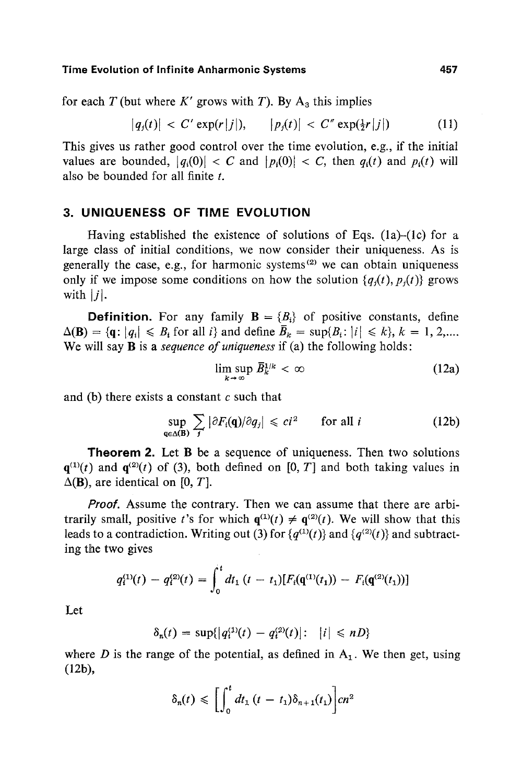for each T (but where K' grows with T). By  $A_3$  this implies

$$
|q_j(t)| < C' \exp(r|j|), \qquad |p_j(t)| < C'' \exp(\frac{1}{2}r|j|) \tag{11}
$$

This gives us rather good control over the time evolution, e.g., if the initial values are bounded,  $|q_1(0)| < C$  and  $|p_2(0)| < C$ , then  $q_3(t)$  and  $p_4(t)$  will also be bounded for all finite  $t$ .

### **3. UNIQUENESS OF TIME EVOLUTION**

Having established the existence of solutions of Eqs.  $(1a)$ - $(1c)$  for a large class of initial conditions, we now consider their uniqueness. As is generally the case, e.g., for harmonic systems $^{(2)}$  we can obtain uniqueness only if we impose some conditions on how the solution  ${q<sub>i</sub>(t), p<sub>i</sub>(t)}$  grows with  $|j|$ .

**Definition.** For any family  $\mathbf{B} = \{B_i\}$  of positive constants, define  $\Delta(\mathbf{B}) = \{\mathbf{q} : |q_i| \leq B_i \text{ for all } i\}$  and define  $\overline{B}_k = \sup\{B_i : |i| \leq k\}, k = 1, 2, \dots$ We will say B is a *sequence of uniqueness* if (a) the following holds:

$$
\limsup_{k\to\infty}\bar{B}_k^{1/k} < \infty \tag{12a}
$$

and (b) there exists a constant  $c$  such that

$$
\sup_{\mathbf{q}\in\Delta(\mathbf{B})}\sum_{j}|\partial F_{i}(\mathbf{q})/\partial q_{j}|\leqslant ci^{2}\qquad\text{for all }i\tag{12b}
$$

**Theorem 2.** Let **B** be a sequence of uniqueness. Then two solutions  $q^{(1)}(t)$  and  $q^{(2)}(t)$  of (3), both defined on [0, T] and both taking values in  $\Delta$ (B), are identical on [0, T].

*Proof.* Assume the contrary. Then we can assume that there are arbitrarily small, positive t's for which  $\mathbf{q}^{(1)}(t) \neq \mathbf{q}^{(2)}(t)$ . We will show that this leads to a contradiction. Writing out (3) for  $\{q^{(1)}(t)\}\$  and  $\{q^{(2)}(t)\}\$  and subtracting the two gives

$$
q_i^{(1)}(t) - q_i^{(2)}(t) = \int_0^t dt_1 (t - t_1) [F_i(\mathbf{q}^{(1)}(t_1)) - F_i(\mathbf{q}^{(2)}(t_1))] \big)
$$

Let

$$
\delta_n(t) = \sup\{|q_i^{(1)}(t) - q_i^{(2)}(t)|: \ \ |i| \leq nD\}
$$

where D is the range of the potential, as defined in  $A_1$ . We then get, using (12b),

$$
\delta_n(t) \leqslant \bigg[\int_0^t dt_1 \left(t - t_1\right) \delta_{n+1}(t_1)\bigg] cn^2
$$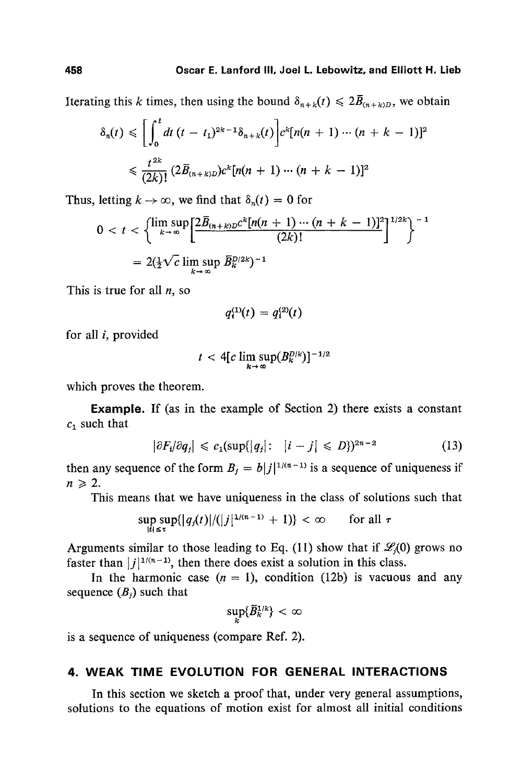Iterating this k times, then using the bound  $\delta_{n+k}(t) \leq 2\bar{B}_{(n+k)D}$ , we obtain

$$
\delta_n(t) \leq \left[ \int_0^t dt \ (t - t_1)^{2k-1} \delta_{n+k}(t) \right] c^k [n(n+1) \cdots (n+k-1)]^2
$$
  

$$
\leq \frac{t^{2k}}{(2k)!} (2\bar{B}_{(n+k)D}) c^k [n(n+1) \cdots (n+k-1)]^2
$$

Thus, letting  $k \to \infty$ , we find that  $\delta_n(t) = 0$  for

$$
0 < t < \left\{\limsup_{k\to\infty}\left[\frac{2\bar{B}_{(n+k)D}c^k[n(n+1)\cdots(n+k-1)]^2}{(2k)!}\right]^{1/2k}\right\}^{-1}
$$
  
=  $2(\frac{1}{2}\sqrt{c}\limsup_{k\to\infty} \bar{B}_k^{D/2k})^{-1}$ 

This is true for all  $n$ , so

$$
q_i^{(1)}(t) = q_i^{(2)}(t)
$$

for all i, provided

$$
t < 4[c\limsup_{k\to\infty}(B_k^{D/k})]^{-1/2}
$$

which proves the theorem.

Example. If (as in the example of Section 2) there exists a constant  $c_1$  such that

$$
|\partial F_i/\partial q_j| \leq c_1(\sup\{|q_j|: |i-j| \leq D\})^{2n-2}
$$
 (13)

then any sequence of the form  $B_j = b|j|^{1/(n-1)}$  is a sequence of uniqueness if  $n\geqslant 2.$ 

This means that we have uniqueness in the class of solutions such that

$$
\sup_{|t|\leq \tau} \sup_{s\in\mathbb{R}}\{|q_j(t)|/(|j|^{1/(n-1)}+1)\} < \infty \quad \text{for all } \tau
$$

Arguments similar to those leading to Eq. (11) show that if  $\mathcal{L}_i(0)$  grows no faster than  $|j|^{1/(n-1)}$ , then there does exist a solution in this class.

In the harmonic case  $(n = 1)$ , condition (12b) is vacuous and any sequence  $(B_i)$  such that

$$
\sup_k\{\bar{B}_k^{1/k}\}<\infty
$$

is a sequence of uniqueness (compare Ref. 2).

# **4. WEAK TIME EVOLUTION FOR GENERAL INTERACTIONS**

In this section we sketch a proof that, under very general assumptions, solutions to the equations of motion exist for almost all initial conditions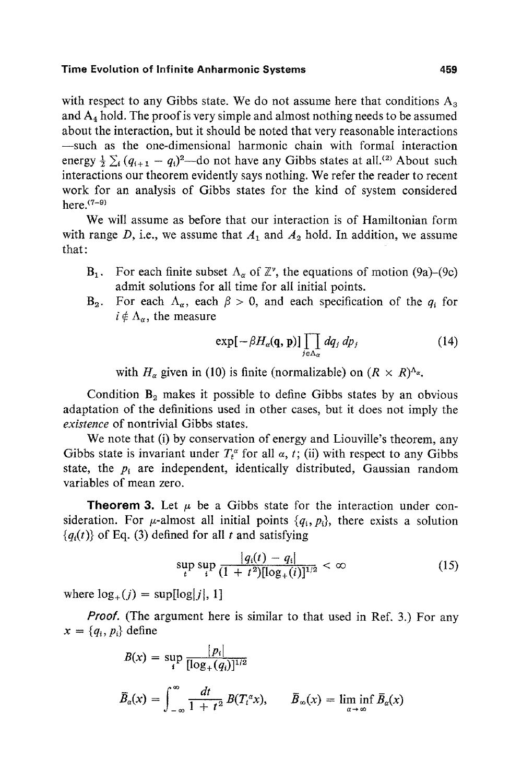with respect to any Gibbs state. We do not assume here that conditions  $A_3$ and  $A_4$  hold. The proof is very simple and almost nothing needs to be assumed about the interaction, but it should be noted that very reasonable interactions -such as the one-dimensional harmonic chain with formal interaction energy  $\frac{1}{2} \sum_i (q_{i+1} - q_i)^2$ —do not have any Gibbs states at all.<sup>(2)</sup> About such interactions our theorem evidently says nothing. We refer the reader to recent work for an analysis of Gibbs states for the kind of system considered here. $(7-9)$ 

We will assume as before that our interaction is of Hamiltonian form with range D, i.e., we assume that  $A_1$  and  $A_2$  hold. In addition, we assume that:

- $B_1$ . For each finite subset  $\Lambda_{\alpha}$  of  $\mathbb{Z}^{\nu}$ , the equations of motion (9a)–(9c) admit solutions for all time for all initial points.
- $B_2$ . For each  $\Lambda_{\alpha}$ , each  $\beta > 0$ , and each specification of the  $q_i$  for  $i \notin \Lambda_{\alpha}$ , the measure

$$
\exp[-\beta H_{\alpha}(\mathbf{q},\mathbf{p})]\prod_{j\in\Lambda_{\alpha}}dq_{j}dp_{j} \qquad (14)
$$

with  $H_{\alpha}$  given in (10) is finite (normalizable) on  $(R \times R)^{\Delta_{\alpha}}$ .

Condition  $B_2$  makes it possible to define Gibbs states by an obvious adaptation of the definitions used in other cases, but it does not imply the *existence* of nontrivial Gibbs states.

We note that (i) by conservation of energy and Liouville's theorem, any Gibbs state is invariant under  $T_t^{\alpha}$  for all  $\alpha$ , t; (ii) with respect to any Gibbs state, the  $p_i$  are independent, identically distributed, Gaussian random variables of mean zero.

**Theorem 3.** Let  $\mu$  be a Gibbs state for the interaction under consideration. For  $\mu$ -almost all initial points  $\{q_i, p_i\}$ , there exists a solution  ${q_i(t)}$  of Eq. (3) defined for all t and satisfying

$$
\sup_{t} \sup_{i} \frac{|q_i(t) - q_i|}{(1 + t^2)[\log_+(i)]^{1/2}} < \infty
$$
\n(15)

where  $\log_+(j) = \sup[\log|j|, 1]$ 

*Proof.* (The argument here is similar to that used in Ref. 3.) For any  $x = \{q_i, p_i\}$  define

$$
B(x) = \sup_{i} \frac{|p_i|}{[\log_+(q_i)]^{1/2}}
$$
  

$$
\overline{B}_{\alpha}(x) = \int_{-\infty}^{\infty} \frac{dt}{1+t^2} B(T_t^{\alpha}x), \qquad \overline{B}_{\infty}(x) = \liminf_{\alpha \to \infty} \overline{B}_{\alpha}(x)
$$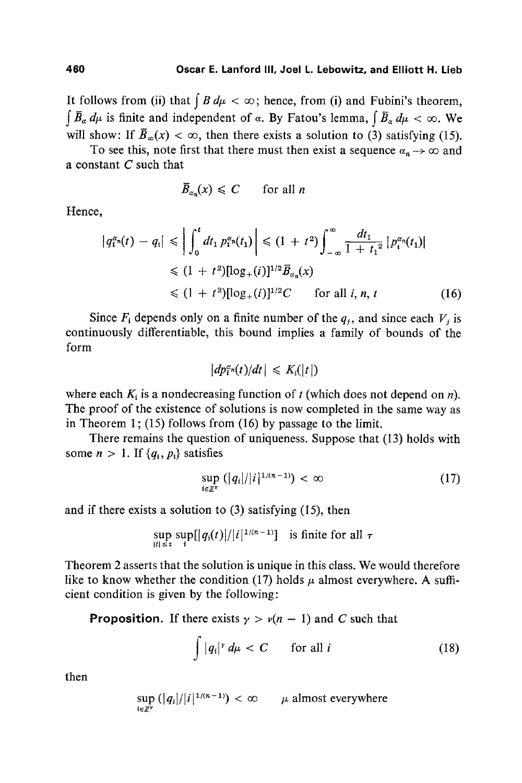It follows from (ii) that  $\int B d\mu < \infty$ ; hence, from (i) and Fubini's theorem,  $\int \overline{B}_{\alpha} d\mu$  is finite and independent of  $\alpha$ . By Fatou's lemma,  $\int \overline{B}_{\alpha} d\mu < \infty$ . We will show: If  $\bar{B}_{\infty}(x) < \infty$ , then there exists a solution to (3) satisfying (15).

To see this, note first that there must then exist a sequence  $\alpha_n \to \infty$  and a constant  $C$  such that

$$
\bar{B}_{\alpha_n}(x) \leq C \qquad \text{for all } n
$$

Hence,

$$
\left| q_i^{\alpha_n}(t) - q_i \right| \leq \left| \int_0^t dt_1 \, p_i^{\alpha_n}(t_1) \right| \leq (1 + t^2) \int_{-\infty}^{\infty} \frac{dt_1}{1 + t_1^2} \left| p_i^{\alpha_n}(t_1) \right|
$$
  
\n
$$
\leq (1 + t^2) [\log_+(i)]^{1/2} \overline{B}_{\alpha_n}(x)
$$
  
\n
$$
\leq (1 + t^2) [\log_+(i)]^{1/2} C \quad \text{for all } i, n, t \qquad (16)
$$

Since  $F_i$  depends only on a finite number of the  $q_j$ , and since each  $V_j$  is continuously differentiable, this bound implies a family of bounds of the form

$$
|dp_i^{\alpha_n}(t)/dt| \leqslant K_i(|t|)
$$

where each  $K_i$  is a nondecreasing function of t (which does not depend on n). The proof of the existence of solutions is now completed in the same way as in Theorem 1; (15) follows from  $(16)$  by passage to the limit.

There remains the question of uniqueness. Suppose that (13) holds with some  $n > 1$ . If  $\{q_i, p_i\}$  satisfies

$$
\sup_{i\in\mathbb{Z}^{\nu}}\left(|q_i|/|i|^{1/(n-1)}\right)<\infty\tag{17}
$$

**and** if there exists a solution to (3) satisfying (15), then

$$
\sup_{|t| \leq \tau} \sup_{i} \left[ \left| q_i(t) \right| / |i|^{1/(n-1)} \right] \text{ is finite for all } \tau
$$

Theorem 2 asserts that the solution is unique in this class. We would therefore like to know whether the condition (17) holds  $\mu$  almost everywhere. A sufficient condition is given by the following:

**Proposition.** If there exists  $\gamma > \nu(n-1)$  and C such that

$$
\int |q_i|^{\gamma} d\mu < C \qquad \text{for all } i \tag{18}
$$

then

$$
\sup_{i\in\mathbb{Z}^{\nu}}\left(|q_i|/|i|^{1/(n-1)}\right)<\infty\qquad\mu\text{ almost everywhere}
$$